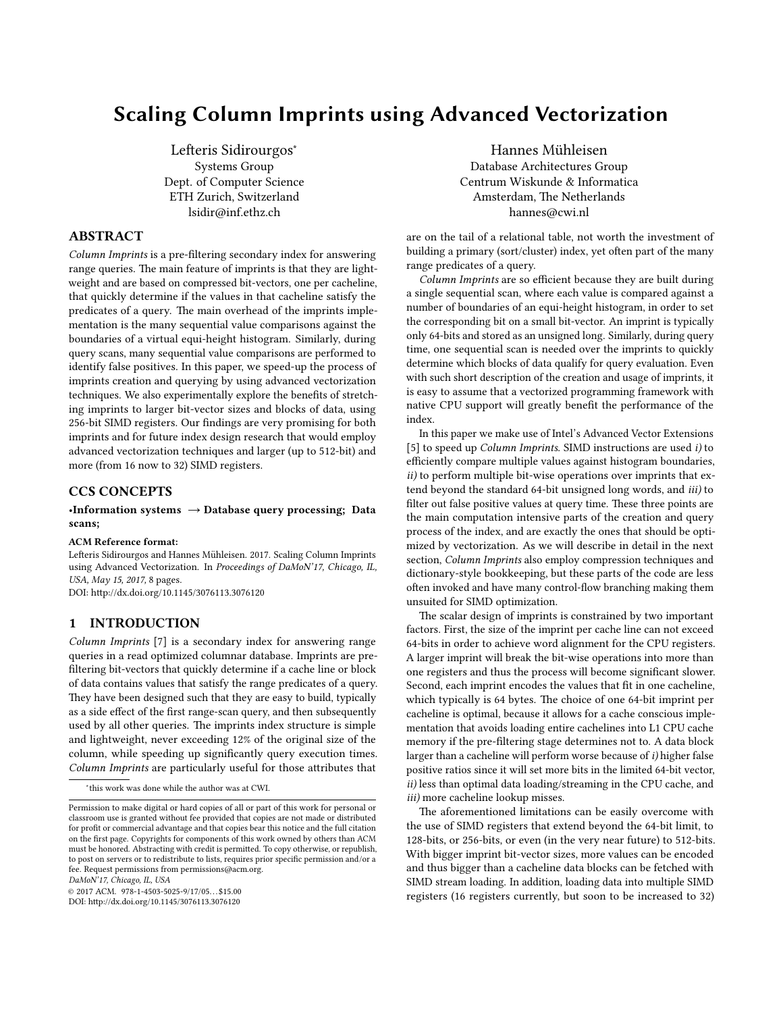# <span id="page-0-0"></span>Scaling Column Imprints using Advanced Vectorization

Lefteris Sidirourgos<sup>\*</sup> Systems Group Dept. of Computer Science ETH Zurich, Switzerland lsidir@inf.ethz.ch

# ABSTRACT

Column Imprints is a pre-filtering secondary index for answering range queries. The main feature of imprints is that they are lightweight and are based on compressed bit-vectors, one per cacheline, that quickly determine if the values in that cacheline satisfy the predicates of a query. The main overhead of the imprints implementation is the many sequential value comparisons against the boundaries of a virtual equi-height histogram. Similarly, during query scans, many sequential value comparisons are performed to identify false positives. In this paper, we speed-up the process of imprints creation and querying by using advanced vectorization techniques. We also experimentally explore the benefits of stretching imprints to larger bit-vector sizes and blocks of data, using 256-bit SIMD registers. Our findings are very promising for both imprints and for future index design research that would employ advanced vectorization techniques and larger (up to 512-bit) and more (from 16 now to 32) SIMD registers.

# CCS CONCEPTS

#### •Information systems  $\rightarrow$  Database query processing; Data scans;

#### ACM Reference format:

Lefteris Sidirourgos and Hannes Mühleisen. 2017. Scaling Column Imprints using Advanced Vectorization. In Proceedings of DaMoN'17, Chicago, IL, USA, May 15, 2017, [8](#page-7-0) pages.

DOI: http://dx.doi.org/10.1145/3076113.3076120

# <span id="page-0-1"></span>1 INTRODUCTION

Column Imprints [\[7\]](#page-7-1) is a secondary index for answering range queries in a read optimized columnar database. Imprints are pre filtering bit-vectors that quickly determine if a cache line or block of data contains values that satisfy the range predicates of a query. They have been designed such that they are easy to build, typically as a side effect of the first range-scan query, and then subsequently used by all other queries. The imprints index structure is simple and lightweight, never exceeding 12% of the original size of the column, while speeding up significantly query execution times. Column Imprints are particularly useful for those attributes that

DaMoN'17, Chicago, IL, USA

 $@ 2017$  ACM. 978-1-4503-5025-9/17/05...\$15.00 DOI: http://dx.doi.org/10.1145/3076113.3076120

Hannes Muhleisen ¨ Database Architectures Group Centrum Wiskunde & Informatica Amsterdam, The Netherlands hannes@cwi.nl

are on the tail of a relational table, not worth the investment of building a primary (sort/cluster) index, yet often part of the many range predicates of a query.

Column Imprints are so efficient because they are built during a single sequential scan, where each value is compared against a number of boundaries of an equi-height histogram, in order to set the corresponding bit on a small bit-vector. An imprint is typically only 64-bits and stored as an unsigned long. Similarly, during query time, one sequential scan is needed over the imprints to quickly determine which blocks of data qualify for query evaluation. Even with such short description of the creation and usage of imprints, it is easy to assume that a vectorized programming framework with native CPU support will greatly benefit the performance of the index.

In this paper we make use of Intel's Advanced Vector Extensions [\[5\]](#page-7-2) to speed up Column Imprints. SIMD instructions are used i) to efficiently compare multiple values against histogram boundaries, ii) to perform multiple bit-wise operations over imprints that extend beyond the standard 64-bit unsigned long words, and iii) to filter out false positive values at query time. These three points are the main computation intensive parts of the creation and query process of the index, and are exactly the ones that should be optimized by vectorization. As we will describe in detail in the next section, Column Imprints also employ compression techniques and dictionary-style bookkeeping, but these parts of the code are less often invoked and have many control-flow branching making them unsuited for SIMD optimization.

The scalar design of imprints is constrained by two important factors. First, the size of the imprint per cache line can not exceed 64-bits in order to achieve word alignment for the CPU registers. A larger imprint will break the bit-wise operations into more than one registers and thus the process will become signicant slower. Second, each imprint encodes the values that fit in one cacheline, which typically is 64 bytes. The choice of one 64-bit imprint per cacheline is optimal, because it allows for a cache conscious implementation that avoids loading entire cachelines into L1 CPU cache memory if the pre-filtering stage determines not to. A data block larger than a cacheline will perform worse because of i) higher false positive ratios since it will set more bits in the limited 64-bit vector, ii) less than optimal data loading/streaming in the CPU cache, and iii) more cacheline lookup misses.

The aforementioned limitations can be easily overcome with the use of SIMD registers that extend beyond the 64-bit limit, to 128-bits, or 256-bits, or even (in the very near future) to 512-bits. With bigger imprint bit-vector sizes, more values can be encoded and thus bigger than a cacheline data blocks can be fetched with SIMD stream loading. In addition, loading data into multiple SIMD registers (16 registers currently, but soon to be increased to 32)

<sup>∗</sup> this work was done while the author was at CWI.

Permission to make digital or hard copies of all or part of this work for personal or classroom use is granted without fee provided that copies are not made or distributed for profit or commercial advantage and that copies bear this notice and the full citation on the first page. Copyrights for components of this work owned by others than  $\rm{ACM}$ must be honored. Abstracting with credit is permitted. To copy otherwise, or republish, to post on servers or to redistribute to lists, requires prior specific permission and/or a fee. Request permissions from permissions@acm.org.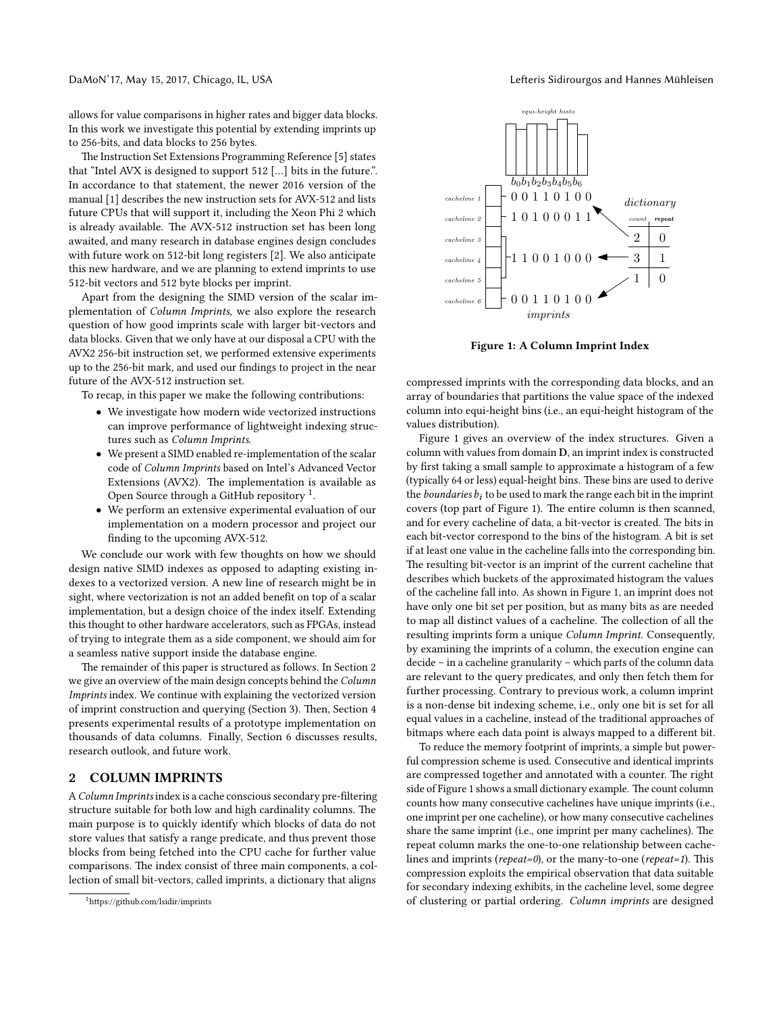allows for value comparisons in higher rates and bigger data blocks. In this work we investigate this potential by extending imprints up to 256-bits, and data blocks to 256 bytes.

The Instruction Set Extensions Programming Reference [\[5\]](#page-7-2) states that "Intel AVX is designed to support 512 […] bits in the future.". In accordance to that statement, the newer 2016 version of the manual [\[1\]](#page-7-3) describes the new instruction sets for AVX-512 and lists future CPUs that will support it, including the Xeon Phi 2 which is already available. The AVX-512 instruction set has been long awaited, and many research in database engines design concludes with future work on 512-bit long registers [\[2\]](#page-7-4). We also anticipate this new hardware, and we are planning to extend imprints to use 512-bit vectors and 512 byte blocks per imprint.

Apart from the designing the SIMD version of the scalar implementation of Column Imprints, we also explore the research question of how good imprints scale with larger bit-vectors and data blocks. Given that we only have at our disposal a CPU with the AVX2 256-bit instruction set, we performed extensive experiments up to the 256-bit mark, and used our findings to project in the near future of the AVX-512 instruction set.

To recap, in this paper we make the following contributions:

- We investigate how modern wide vectorized instructions can improve performance of lightweight indexing structures such as Column Imprints.
- We present a SIMD enabled re-implementation of the scalar code of Column Imprints based on Intel's Advanced Vector Extensions (AVX2). The implementation is available as Open Source through a GitHub repository  $^1$  $^1$ .
- We perform an extensive experimental evaluation of our implementation on a modern processor and project our finding to the upcoming AVX-512.

We conclude our work with few thoughts on how we should design native SIMD indexes as opposed to adapting existing indexes to a vectorized version. A new line of research might be in sight, where vectorization is not an added benefit on top of a scalar implementation, but a design choice of the index itself. Extending this thought to other hardware accelerators, such as FPGAs, instead of trying to integrate them as a side component, we should aim for a seamless native support inside the database engine.

The remainder of this paper is structured as follows. In Section [2](#page-1-0) we give an overview of the main design concepts behind the Column Imprints index. We continue with explaining the vectorized version of imprint construction and querying (Section [3\)](#page-2-0). Then, Section [4](#page-4-0) presents experimental results of a prototype implementation on thousands of data columns. Finally, Section [6](#page-6-0) discusses results, research outlook, and future work.

# <span id="page-1-0"></span>2 COLUMN IMPRINTS

A Column Imprints index is a cache conscious secondary pre-filtering structure suitable for both low and high cardinality columns. The main purpose is to quickly identify which blocks of data do not store values that satisfy a range predicate, and thus prevent those blocks from being fetched into the CPU cache for further value comparisons. The index consist of three main components, a collection of small bit-vectors, called imprints, a dictionary that aligns

<span id="page-1-1"></span>

Figure 1: A Column Imprint Index

compressed imprints with the corresponding data blocks, and an array of boundaries that partitions the value space of the indexed column into equi-height bins (i.e., an equi-height histogram of the values distribution).

Figure [1](#page-1-1) gives an overview of the index structures. Given a column with values from domain D, an imprint index is constructed by first taking a small sample to approximate a histogram of a few (typically 64 or less) equal-height bins. These bins are used to derive the *boundaries*  $b_i$  to be used to mark the range each bit in the imprint covers (top part of Figure [1\)](#page-1-1). The entire column is then scanned, and for every cacheline of data, a bit-vector is created. The bits in each bit-vector correspond to the bins of the histogram. A bit is set if at least one value in the cacheline falls into the corresponding bin. The resulting bit-vector is an imprint of the current cacheline that describes which buckets of the approximated histogram the values of the cacheline fall into. As shown in Figure [1,](#page-1-1) an imprint does not have only one bit set per position, but as many bits as are needed to map all distinct values of a cacheline. The collection of all the resulting imprints form a unique Column Imprint. Consequently, by examining the imprints of a column, the execution engine can decide – in a cacheline granularity – which parts of the column data are relevant to the query predicates, and only then fetch them for further processing. Contrary to previous work, a column imprint is a non-dense bit indexing scheme, i.e., only one bit is set for all equal values in a cacheline, instead of the traditional approaches of bitmaps where each data point is always mapped to a different bit.

To reduce the memory footprint of imprints, a simple but powerful compression scheme is used. Consecutive and identical imprints are compressed together and annotated with a counter. The right side of Figure [1](#page-1-1) shows a small dictionary example. The count column counts how many consecutive cachelines have unique imprints (i.e., one imprint per one cacheline), or how many consecutive cachelines share the same imprint (i.e., one imprint per many cachelines). The repeat column marks the one-to-one relationship between cachelines and imprints ( $repeat=0$ ), or the many-to-one ( $repeat=1$ ). This compression exploits the empirical observation that data suitable for secondary indexing exhibits, in the cacheline level, some degree of clustering or partial ordering. Column imprints are designed

<sup>&</sup>lt;sup>1</sup>https://github.com/lsidir/imprints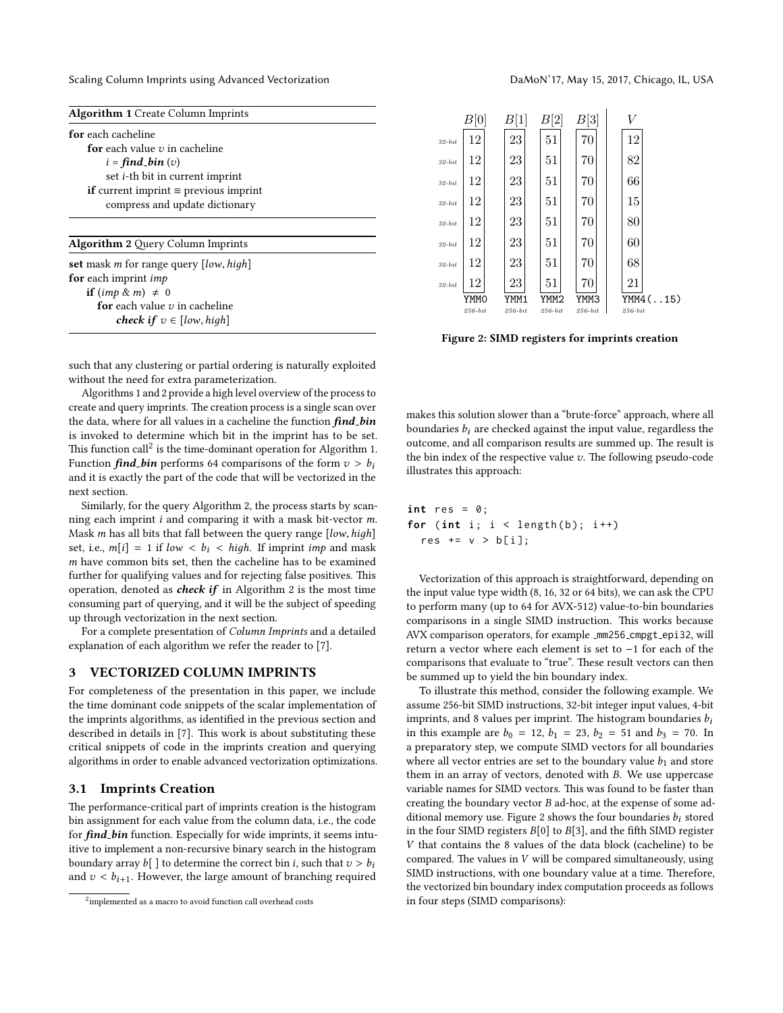Scaling Column Imprints using Advanced Vectorization DaMoN'17, May 15, 2017, Chicago, IL, USA

<span id="page-2-2"></span><span id="page-2-1"></span>

| <b>Algorithm 1</b> Create Column Imprints            |  |
|------------------------------------------------------|--|
| <b>for</b> each cacheline                            |  |
| <b>for</b> each value $v$ in cacheline               |  |
| $i = \text{find}\_\text{bin}(v)$                     |  |
| set <i>i</i> -th bit in current imprint              |  |
| if current imprint $\equiv$ previous imprint         |  |
| compress and update dictionary                       |  |
| <b>Algorithm 2 Query Column Imprints</b>             |  |
| <b>set</b> mask <i>m</i> for range query [low, high] |  |
| <b>for</b> each imprint <i>imp</i>                   |  |
| if $\left(imp \& m\right) \neq 0$                    |  |
| for each value $v$ in cacheline                      |  |
| <b>check if</b> $v \in [low, high]$                  |  |
|                                                      |  |

<span id="page-2-3"></span>

|          | B[0]       | B[1]       | B[2]       | B[3]       | V          |
|----------|------------|------------|------------|------------|------------|
| $32-bit$ | 12         | 23         | 51         | 70         | 12         |
| $32-bit$ | 12         | 23         | 51         | 70         | 82         |
| $32-bit$ | 12         | 23         | 51         | 70         | 66         |
| $32-bit$ | 12         | 23         | 51         | 70         | 15         |
| $32-bit$ | 12         | 23         | 51         | 70         | 80         |
| $32-bit$ | 12         | 23         | 51         | 70         | 60         |
| $32-bit$ | 12         | 23         | 51         | 70         | 68         |
| $32-bit$ | 12         | 23         | $51\,$     | 70         | 21         |
|          | YMMO       | YMM1       | YMM2       | YMM3       | YMM4(15)   |
|          | $256$ -bit | $256$ -bit | $256$ -bit | $256$ -bit | $256$ -bit |

Figure 2: SIMD registers for imprints creation

such that any clustering or partial ordering is naturally exploited without the need for extra parameterization.

Algorithms [1](#page-2-1) and [2](#page-2-2) provide a high level overview of the process to create and query imprints. The creation process is a single scan over the data, where for all values in a cacheline the function  $find\_bin$ is invoked to determine which bit in the imprint has to be set. This function call<sup>[2](#page-0-0)</sup> is the time-dominant operation for Algorithm [1.](#page-2-1) Function find bin performs 64 comparisons of the form  $v > b_i$ and it is exactly the part of the code that will be vectorized in the next section.

Similarly, for the query Algorithm [2,](#page-2-2) the process starts by scanning each imprint  $i$  and comparing it with a mask bit-vector  $m$ . Mask  $m$  has all bits that fall between the query range  $[low,high]$ set, i.e.,  $m[i] = 1$  if  $low < b_i < high$ . If imprint  $imp$  and mask m have common bits set, then the cacheline has to be examined further for qualifying values and for rejecting false positives. This operation, denoted as check if in Algorithm [2](#page-2-2) is the most time consuming part of querying, and it will be the subject of speeding up through vectorization in the next section.

For a complete presentation of Column Imprints and a detailed explanation of each algorithm we refer the reader to [\[7\]](#page-7-1).

#### <span id="page-2-0"></span>3 VECTORIZED COLUMN IMPRINTS

For completeness of the presentation in this paper, we include the time dominant code snippets of the scalar implementation of the imprints algorithms, as identified in the previous section and described in details in [\[7\]](#page-7-1). This work is about substituting these critical snippets of code in the imprints creation and querying algorithms in order to enable advanced vectorization optimizations.

## 3.1 Imprints Creation

The performance-critical part of imprints creation is the histogram bin assignment for each value from the column data, i.e., the code for *find\_bin* function. Especially for wide imprints, it seems intuitive to implement a non-recursive binary search in the histogram boundary array  $b[$  ] to determine the correct bin *i*, such that  $v > b_i$ and  $v < b_{i+1}$ . However, the large amount of branching required

makes this solution slower than a "brute-force" approach, where all boundaries  $b_i$  are checked against the input value, regardless the outcome, and all comparison results are summed up. The result is the bin index of the respective value  $v$ . The following pseudo-code illustrates this approach:

 $int$  res =  $\theta$ ; for (int i;  $i <$  length(b);  $i$ ++) res  $+= v > b[i];$ 

Vectorization of this approach is straightforward, depending on the input value type width (8, 16, 32 or 64 bits), we can ask the CPU to perform many (up to 64 for AVX-512) value-to-bin boundaries comparisons in a single SIMD instruction. This works because AVX comparison operators, for example \_mm256\_cmpgt\_epi32, will return a vector where each element is set to −1 for each of the comparisons that evaluate to "true". These result vectors can then be summed up to yield the bin boundary index.

To illustrate this method, consider the following example. We assume 256-bit SIMD instructions, 32-bit integer input values, 4-bit imprints, and 8 values per imprint. The histogram boundaries  $b_i$ in this example are  $b_0 = 12$ ,  $b_1 = 23$ ,  $b_2 = 51$  and  $b_3 = 70$ . In a preparatory step, we compute SIMD vectors for all boundaries where all vector entries are set to the boundary value  $b_1$  and store them in an array of vectors, denoted with B. We use uppercase variable names for SIMD vectors. This was found to be faster than creating the boundary vector  $B$  ad-hoc, at the expense of some ad-ditional memory use. Figure [2](#page-2-3) shows the four boundaries  $b_i$  stored in the four SIMD registers  $B[0]$  to  $B[3]$ , and the fifth SIMD register V that contains the 8 values of the data block (cacheline) to be compared. The values in  $V$  will be compared simultaneously, using SIMD instructions, with one boundary value at a time. Therefore, the vectorized bin boundary index computation proceeds as follows in four steps (SIMD comparisons):

 $2$ implemented as a macro to avoid function call overhead costs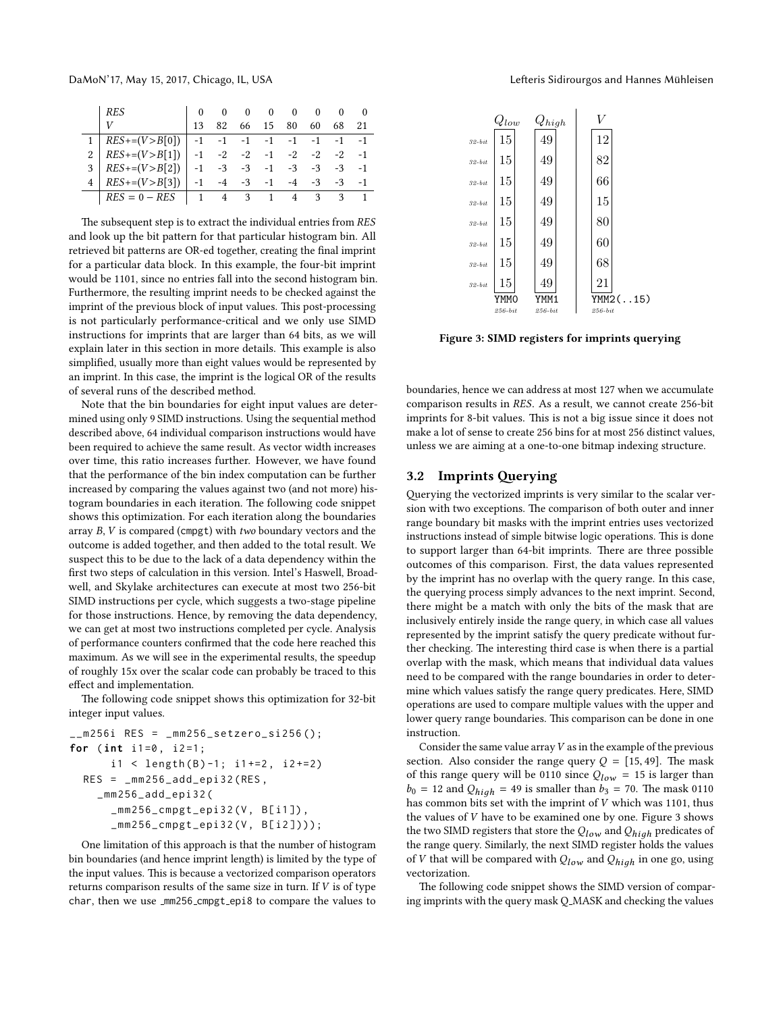| RES                                                 |    |    | $\begin{matrix} 0 & 0 & 0 & 0 & 0 & 0 & 0 & 0 \end{matrix}$ |    |       |  |
|-----------------------------------------------------|----|----|-------------------------------------------------------------|----|-------|--|
|                                                     | 13 | 82 | 66 15 80                                                    | 60 | 68 21 |  |
| $1   RES+=(V>B[0])   -1 -1 -1 -1 -1 -1 -1 -1 -1 -1$ |    |    |                                                             |    |       |  |
| $ RES+=(V>B[1]) $                                   |    |    | $-1$ $-2$ $-2$ $-1$ $-2$ $-2$ $-2$ $-1$                     |    |       |  |
| $ RES+=(V>B[2]) $                                   |    |    | $-1$ $-3$ $-3$ $-1$ $-3$ $-3$ $-3$ $-1$                     |    |       |  |
| $4   RES+=(V>B[3])$ -1 -4 -3 -1 -4 -3 -3 -1         |    |    |                                                             |    |       |  |
| $\vert$ RES = 0 - RES $\vert$ 1 4 3 1 4 3 3 1       |    |    |                                                             |    |       |  |
|                                                     |    |    |                                                             |    |       |  |

The subsequent step is to extract the individual entries from RES and look up the bit pattern for that particular histogram bin. All retrieved bit patterns are OR-ed together, creating the final imprint for a particular data block. In this example, the four-bit imprint would be 1101, since no entries fall into the second histogram bin. Furthermore, the resulting imprint needs to be checked against the imprint of the previous block of input values. This post-processing is not particularly performance-critical and we only use SIMD instructions for imprints that are larger than 64 bits, as we will explain later in this section in more details. This example is also simplified, usually more than eight values would be represented by an imprint. In this case, the imprint is the logical OR of the results of several runs of the described method.

Note that the bin boundaries for eight input values are determined using only 9 SIMD instructions. Using the sequential method described above, 64 individual comparison instructions would have been required to achieve the same result. As vector width increases over time, this ratio increases further. However, we have found that the performance of the bin index computation can be further increased by comparing the values against two (and not more) histogram boundaries in each iteration. The following code snippet shows this optimization. For each iteration along the boundaries array B, V is compared (cmpgt) with two boundary vectors and the outcome is added together, and then added to the total result. We suspect this to be due to the lack of a data dependency within the first two steps of calculation in this version. Intel's Haswell, Broadwell, and Skylake architectures can execute at most two 256-bit SIMD instructions per cycle, which suggests a two-stage pipeline for those instructions. Hence, by removing the data dependency, we can get at most two instructions completed per cycle. Analysis of performance counters confirmed that the code here reached this maximum. As we will see in the experimental results, the speedup of roughly 15x over the scalar code can probably be traced to this effect and implementation.

The following code snippet shows this optimization for 32-bit integer input values.

```
__m256i RES = _mm256_setzero_si256 ();
for ( int i1 =0 , i2 =1;
       i1 < length (B) -1; i1 += 2, i2 += 2)
  RES = _mm256\_add\_epi32 (RES,_mm256_add_epi32 (
       _mm256_cmpgt_epi32 (V , B [ i1 ]) ,
       _mm256_cmpgt_epi32 (V , B [ i2 ])));
```
One limitation of this approach is that the number of histogram bin boundaries (and hence imprint length) is limited by the type of the input values. This is because a vectorized comparison operators returns comparison results of the same size in turn. If  $V$  is of type char, then we use \_mm256\_cmpgt\_epi8 to compare the values to

<span id="page-3-0"></span>

Figure 3: SIMD registers for imprints querying

boundaries, hence we can address at most 127 when we accumulate comparison results in RES. As a result, we cannot create 256-bit imprints for 8-bit values. This is not a big issue since it does not make a lot of sense to create 256 bins for at most 256 distinct values, unless we are aiming at a one-to-one bitmap indexing structure.

# 3.2 Imprints Querying

Querying the vectorized imprints is very similar to the scalar version with two exceptions. The comparison of both outer and inner range boundary bit masks with the imprint entries uses vectorized instructions instead of simple bitwise logic operations. This is done to support larger than 64-bit imprints. There are three possible outcomes of this comparison. First, the data values represented by the imprint has no overlap with the query range. In this case, the querying process simply advances to the next imprint. Second, there might be a match with only the bits of the mask that are inclusively entirely inside the range query, in which case all values represented by the imprint satisfy the query predicate without further checking. The interesting third case is when there is a partial overlap with the mask, which means that individual data values need to be compared with the range boundaries in order to determine which values satisfy the range query predicates. Here, SIMD operations are used to compare multiple values with the upper and lower query range boundaries. This comparison can be done in one instruction.

Consider the same value array  $V$  as in the example of the previous section. Also consider the range query  $Q = [15, 49]$ . The mask of this range query will be 0110 since  $Q_{low} = 15$  is larger than  $b_0 = 12$  and  $Q_{hidh} = 49$  is smaller than  $b_3 = 70$ . The mask 0110 has common bits set with the imprint of V which was 1101, thus the values of V have to be examined one by one. Figure [3](#page-3-0) shows the two SIMD registers that store the  $Q_{low}$  and  $Q_{high}$  predicates of the range query. Similarly, the next SIMD register holds the values of V that will be compared with  $Q_{low}$  and  $Q_{high}$  in one go, using vectorization.

The following code snippet shows the SIMD version of comparing imprints with the query mask Q MASK and checking the values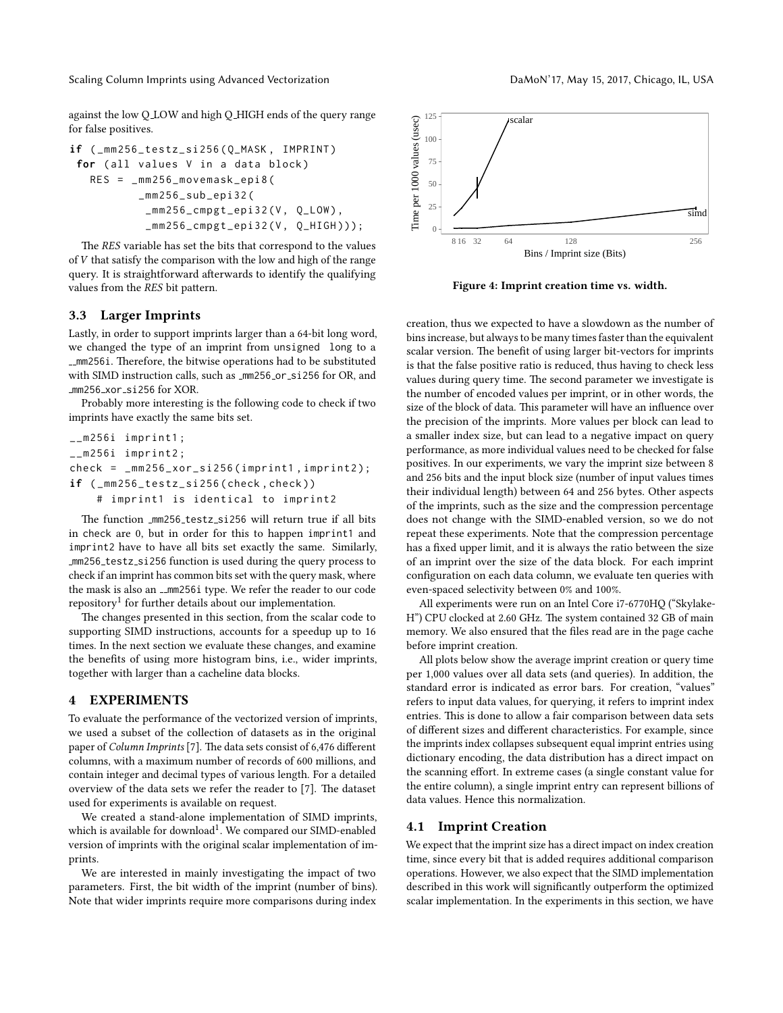Scaling Column Imprints using Advanced Vectorization DaMoN'17, May 15, 2017, Chicago, IL, USA

against the low Q LOW and high Q HIGH ends of the query range for false positives.

```
if (_mm256_testz_si256 (Q_MASK, IMPRINT)
 for ( all values V in a data block )
   RES = _mm256_movemask_epi8 (
           _mm256_sub_epi32 (
            _mm256_cmpgt_epi32(V, Q_LOW),
           _mm256_cmpgt_epi32 (V , Q_HIGH )));
```
The RES variable has set the bits that correspond to the values of V that satisfy the comparison with the low and high of the range query. It is straightforward afterwards to identify the qualifying values from the RES bit pattern.

# 3.3 Larger Imprints

Lastly, in order to support imprints larger than a 64-bit long word, we changed the type of an imprint from unsigned long to a \_mm256i. Therefore, the bitwise operations had to be substituted with SIMD instruction calls, such as \_mm256\_or\_si256 for OR, and mm256 xor si256 for XOR.

Probably more interesting is the following code to check if two imprints have exactly the same bits set.

```
_{--}m256i imprint1;
__m256i imprint2 ;
check = _mm256_xoor_sii256(imprint1, imprint2);if ( _mm256_testz_si256 ( check , check ))
    # imprint1 is identical to imprint2
```
The function \_mm256\_testz\_si256 will return true if all bits in check are 0, but in order for this to happen imprint1 and imprint2 have to have all bits set exactly the same. Similarly, mm256 testz si256 function is used during the query process to check if an imprint has common bits set with the query mask, where the mask is also an \_mm256i type. We refer the reader to our code  $\epsilon$ repository $^1$  $^1$  for further details about our implementation.

The changes presented in this section, from the scalar code to supporting SIMD instructions, accounts for a speedup up to 16 times. In the next section we evaluate these changes, and examine the benefits of using more histogram bins, i.e., wider imprints, together with larger than a cacheline data blocks.

# <span id="page-4-0"></span>4 EXPERIMENTS

To evaluate the performance of the vectorized version of imprints, we used a subset of the collection of datasets as in the original paper of Column Imprints [\[7\]](#page-7-1). The data sets consist of 6,476 different columns, with a maximum number of records of 600 millions, and contain integer and decimal types of various length. For a detailed overview of the data sets we refer the reader to [\[7\]](#page-7-1). The dataset used for experiments is available on request.

We created a stand-alone implementation of SIMD imprints, which is available for download<sup>[1](#page-0-0)</sup>. We compared our SIMD-enabled version of imprints with the original scalar implementation of imprints.

We are interested in mainly investigating the impact of two parameters. First, the bit width of the imprint (number of bins). Note that wider imprints require more comparisons during index

<span id="page-4-1"></span>

Figure 4: Imprint creation time vs. width.

creation, thus we expected to have a slowdown as the number of bins increase, but always to be many times faster than the equivalent scalar version. The benefit of using larger bit-vectors for imprints is that the false positive ratio is reduced, thus having to check less values during query time. The second parameter we investigate is the number of encoded values per imprint, or in other words, the size of the block of data. This parameter will have an influence over the precision of the imprints. More values per block can lead to a smaller index size, but can lead to a negative impact on query performance, as more individual values need to be checked for false positives. In our experiments, we vary the imprint size between 8 and 256 bits and the input block size (number of input values times their individual length) between 64 and 256 bytes. Other aspects of the imprints, such as the size and the compression percentage does not change with the SIMD-enabled version, so we do not repeat these experiments. Note that the compression percentage has a fixed upper limit, and it is always the ratio between the size of an imprint over the size of the data block. For each imprint configuration on each data column, we evaluate ten queries with even-spaced selectivity between 0% and 100%.

All experiments were run on an Intel Core i7-6770HQ ("Skylake-H") CPU clocked at 2.60 GHz. The system contained 32 GB of main memory. We also ensured that the files read are in the page cache before imprint creation.

All plots below show the average imprint creation or query time per 1,000 values over all data sets (and queries). In addition, the standard error is indicated as error bars. For creation, "values" refers to input data values, for querying, it refers to imprint index entries. This is done to allow a fair comparison between data sets of different sizes and different characteristics. For example, since the imprints index collapses subsequent equal imprint entries using dictionary encoding, the data distribution has a direct impact on the scanning effort. In extreme cases (a single constant value for the entire column), a single imprint entry can represent billions of data values. Hence this normalization.

#### 4.1 Imprint Creation

We expect that the imprint size has a direct impact on index creation time, since every bit that is added requires additional comparison operations. However, we also expect that the SIMD implementation described in this work will significantly outperform the optimized scalar implementation. In the experiments in this section, we have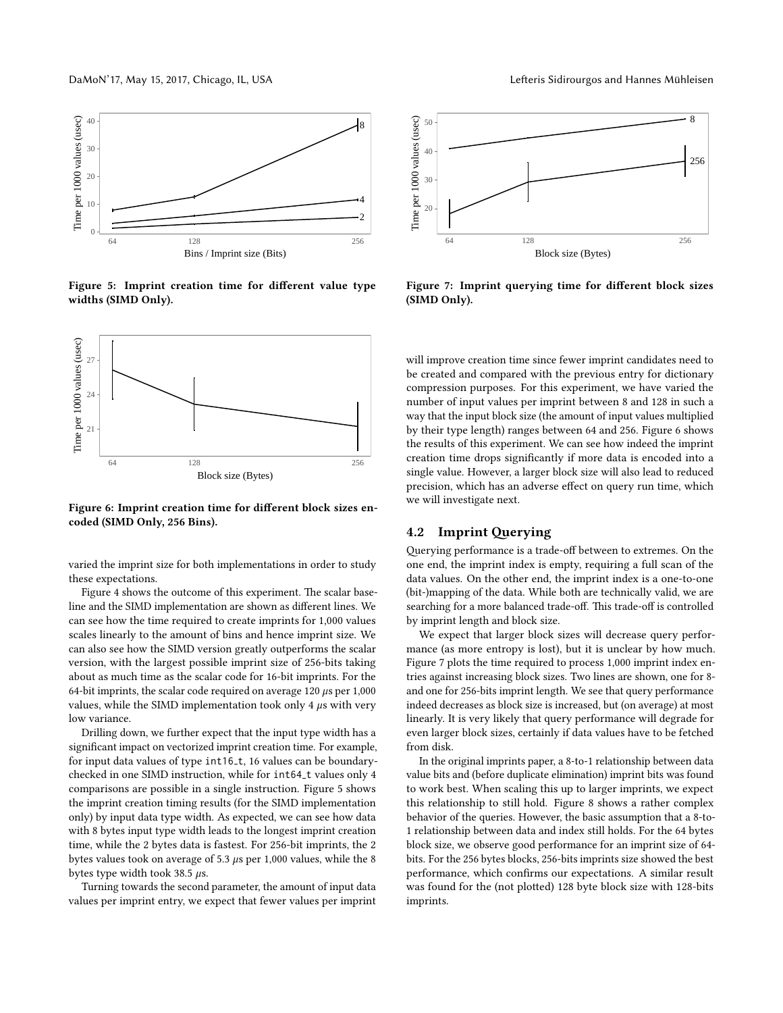<span id="page-5-0"></span>

Figure 5: Imprint creation time for different value type widths (SIMD Only).

<span id="page-5-1"></span>

Figure 6: Imprint creation time for different block sizes encoded (SIMD Only, 256 Bins).

varied the imprint size for both implementations in order to study these expectations.

Figure [4](#page-4-1) shows the outcome of this experiment. The scalar baseline and the SIMD implementation are shown as different lines. We can see how the time required to create imprints for 1,000 values scales linearly to the amount of bins and hence imprint size. We can also see how the SIMD version greatly outperforms the scalar version, with the largest possible imprint size of 256-bits taking about as much time as the scalar code for 16-bit imprints. For the 64-bit imprints, the scalar code required on average 120  $\mu$ s per 1,000 values, while the SIMD implementation took only 4  $\mu$ s with very low variance.

Drilling down, we further expect that the input type width has a significant impact on vectorized imprint creation time. For example, for input data values of type int16\_t, 16 values can be boundarychecked in one SIMD instruction, while for int64\_t values only 4 comparisons are possible in a single instruction. Figure [5](#page-5-0) shows the imprint creation timing results (for the SIMD implementation only) by input data type width. As expected, we can see how data with 8 bytes input type width leads to the longest imprint creation time, while the 2 bytes data is fastest. For 256-bit imprints, the 2 bytes values took on average of 5.3  $\mu$ s per 1,000 values, while the 8 bytes type width took 38.5  $\mu$ s.

Turning towards the second parameter, the amount of input data values per imprint entry, we expect that fewer values per imprint

<span id="page-5-2"></span>

Figure 7: Imprint querying time for different block sizes (SIMD Only).

will improve creation time since fewer imprint candidates need to be created and compared with the previous entry for dictionary compression purposes. For this experiment, we have varied the number of input values per imprint between 8 and 128 in such a way that the input block size (the amount of input values multiplied by their type length) ranges between 64 and 256. Figure [6](#page-5-1) shows the results of this experiment. We can see how indeed the imprint creation time drops significantly if more data is encoded into a single value. However, a larger block size will also lead to reduced precision, which has an adverse effect on query run time, which we will investigate next.

# 4.2 Imprint Querying

Querying performance is a trade-off between to extremes. On the one end, the imprint index is empty, requiring a full scan of the data values. On the other end, the imprint index is a one-to-one (bit-)mapping of the data. While both are technically valid, we are searching for a more balanced trade-off. This trade-off is controlled by imprint length and block size.

We expect that larger block sizes will decrease query performance (as more entropy is lost), but it is unclear by how much. Figure [7](#page-5-2) plots the time required to process 1,000 imprint index entries against increasing block sizes. Two lines are shown, one for 8 and one for 256-bits imprint length. We see that query performance indeed decreases as block size is increased, but (on average) at most linearly. It is very likely that query performance will degrade for even larger block sizes, certainly if data values have to be fetched from disk.

In the original imprints paper, a 8-to-1 relationship between data value bits and (before duplicate elimination) imprint bits was found to work best. When scaling this up to larger imprints, we expect this relationship to still hold. Figure [8](#page-6-1) shows a rather complex behavior of the queries. However, the basic assumption that a 8-to-1 relationship between data and index still holds. For the 64 bytes block size, we observe good performance for an imprint size of 64 bits. For the 256 bytes blocks, 256-bits imprints size showed the best performance, which confirms our expectations. A similar result was found for the (not plotted) 128 byte block size with 128-bits imprints.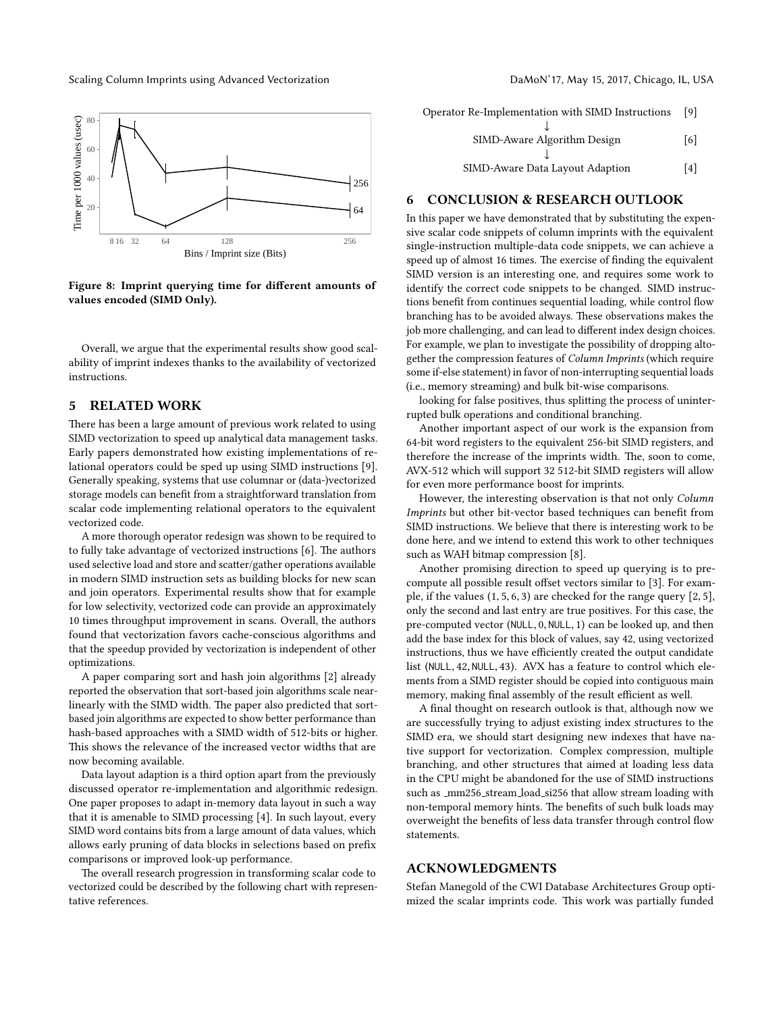<span id="page-6-1"></span>

Figure 8: Imprint querying time for different amounts of values encoded (SIMD Only).

Overall, we argue that the experimental results show good scalability of imprint indexes thanks to the availability of vectorized instructions.

## 5 RELATED WORK

There has been a large amount of previous work related to using SIMD vectorization to speed up analytical data management tasks. Early papers demonstrated how existing implementations of relational operators could be sped up using SIMD instructions [\[9\]](#page-7-5). Generally speaking, systems that use columnar or (data-)vectorized storage models can benefit from a straightforward translation from scalar code implementing relational operators to the equivalent vectorized code.

A more thorough operator redesign was shown to be required to to fully take advantage of vectorized instructions  $[6]$ . The authors used selective load and store and scatter/gather operations available in modern SIMD instruction sets as building blocks for new scan and join operators. Experimental results show that for example for low selectivity, vectorized code can provide an approximately 10 times throughput improvement in scans. Overall, the authors found that vectorization favors cache-conscious algorithms and that the speedup provided by vectorization is independent of other optimizations.

A paper comparing sort and hash join algorithms [\[2\]](#page-7-4) already reported the observation that sort-based join algorithms scale nearlinearly with the SIMD width. The paper also predicted that sortbased join algorithms are expected to show better performance than hash-based approaches with a SIMD width of 512-bits or higher. This shows the relevance of the increased vector widths that are now becoming available.

Data layout adaption is a third option apart from the previously discussed operator re-implementation and algorithmic redesign. One paper proposes to adapt in-memory data layout in such a way that it is amenable to SIMD processing [\[4\]](#page-7-7). In such layout, every SIMD word contains bits from a large amount of data values, which allows early pruning of data blocks in selections based on prefix comparisons or improved look-up performance.

The overall research progression in transforming scalar code to vectorized could be described by the following chart with representative references.

Operator Re-Implementation with SIMD Instructions [\[9\]](#page-7-5)

$$
\begin{array}{c}\n\downarrow \\
\text{SIMD-Aware Algorithm Design} \\
\downarrow\n\end{array}
$$
 [6]

SIMD-Aware Data Layout Adaption [\[4\]](#page-7-7)

# <span id="page-6-0"></span>6 CONCLUSION & RESEARCH OUTLOOK

In this paper we have demonstrated that by substituting the expensive scalar code snippets of column imprints with the equivalent single-instruction multiple-data code snippets, we can achieve a speed up of almost 16 times. The exercise of finding the equivalent SIMD version is an interesting one, and requires some work to identify the correct code snippets to be changed. SIMD instructions benefit from continues sequential loading, while control flow branching has to be avoided always. These observations makes the job more challenging, and can lead to different index design choices. For example, we plan to investigate the possibility of dropping altogether the compression features of Column Imprints (which require some if-else statement) in favor of non-interrupting sequential loads (i.e., memory streaming) and bulk bit-wise comparisons.

looking for false positives, thus splitting the process of uninterrupted bulk operations and conditional branching.

Another important aspect of our work is the expansion from 64-bit word registers to the equivalent 256-bit SIMD registers, and therefore the increase of the imprints width. The, soon to come, AVX-512 which will support 32 512-bit SIMD registers will allow for even more performance boost for imprints.

However, the interesting observation is that not only Column Imprints but other bit-vector based techniques can benefit from SIMD instructions. We believe that there is interesting work to be done here, and we intend to extend this work to other techniques such as WAH bitmap compression [\[8\]](#page-7-8).

Another promising direction to speed up querying is to pre-compute all possible result offset vectors similar to [\[3\]](#page-7-9). For example, if the values (1, <sup>5</sup>, <sup>6</sup>, <sup>3</sup>) are checked for the range query [2, 5], only the second and last entry are true positives. For this case, the pre-computed vector (NULL, <sup>0</sup>, NULL, <sup>1</sup>) can be looked up, and then add the base index for this block of values, say 42, using vectorized instructions, thus we have efficiently created the output candidate list (NULL, <sup>42</sup>, NULL, <sup>43</sup>). AVX has a feature to control which elements from a SIMD register should be copied into contiguous main memory, making final assembly of the result efficient as well.

A final thought on research outlook is that, although now we are successfully trying to adjust existing index structures to the SIMD era, we should start designing new indexes that have native support for vectorization. Complex compression, multiple branching, and other structures that aimed at loading less data in the CPU might be abandoned for the use of SIMD instructions such as \_mm256\_stream\_load\_si256 that allow stream loading with non-temporal memory hints. The benefits of such bulk loads may overweight the benefits of less data transfer through control flow statements.

## ACKNOWLEDGMENTS

Stefan Manegold of the CWI Database Architectures Group optimized the scalar imprints code. This work was partially funded